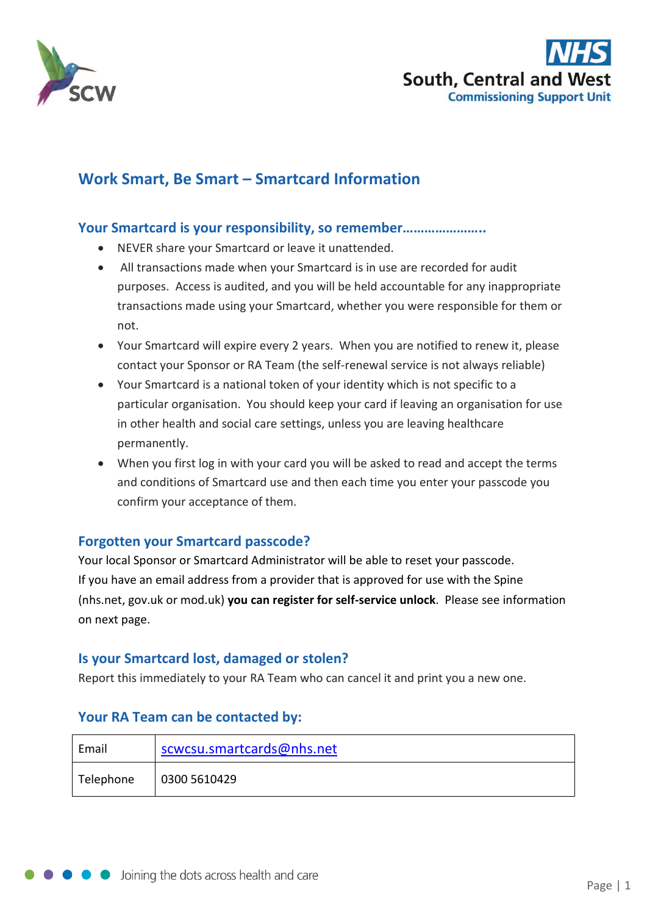



# **Work Smart, Be Smart – Smartcard Information**

#### **Your Smartcard is your responsibility, so remember…………………..**

- NEVER share your Smartcard or leave it unattended.
- All transactions made when your Smartcard is in use are recorded for audit purposes. Access is audited, and you will be held accountable for any inappropriate transactions made using your Smartcard, whether you were responsible for them or not.
- Your Smartcard will expire every 2 years. When you are notified to renew it, please contact your Sponsor or RA Team (the self-renewal service is not always reliable)
- Your Smartcard is a national token of your identity which is not specific to a particular organisation. You should keep your card if leaving an organisation for use in other health and social care settings, unless you are leaving healthcare permanently.
- When you first log in with your card you will be asked to read and accept the terms and conditions of Smartcard use and then each time you enter your passcode you confirm your acceptance of them.

## **Forgotten your Smartcard passcode?**

Your local Sponsor or Smartcard Administrator will be able to reset your passcode. If you have an email address from a provider that is approved for use with the Spine (nhs.net, gov.uk or mod.uk) **you can register for self-service unlock**. Please see information on next page.

#### **Is your Smartcard lost, damaged or stolen?**

Report this immediately to your RA Team who can cancel it and print you a new one.

## **Your RA Team can be contacted by:**

| Email     | scwcsu.smartcards@nhs.net |  |  |
|-----------|---------------------------|--|--|
| Telephone | 0300 5610429              |  |  |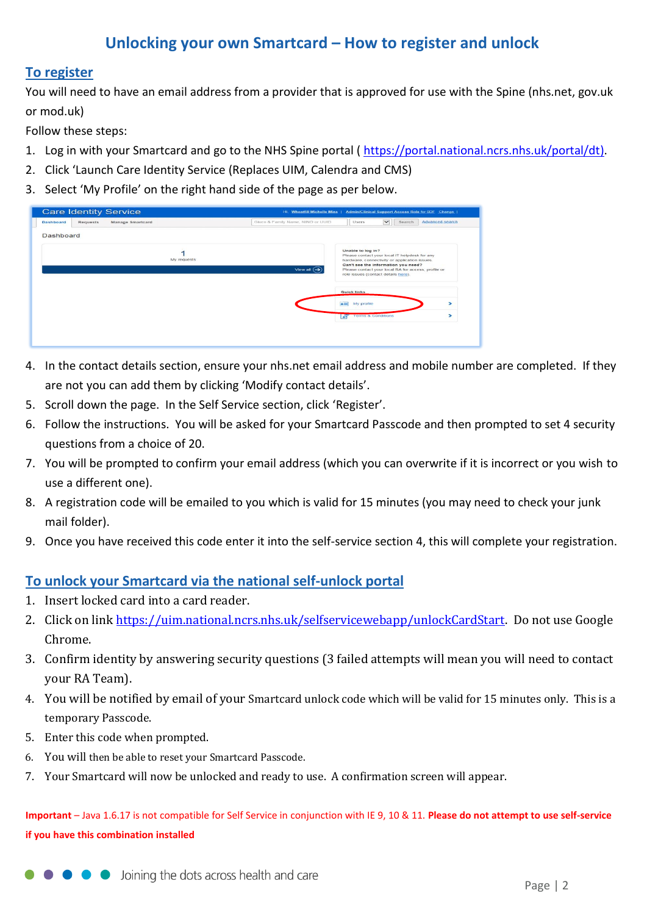# **Unlocking your own Smartcard – How to register and unlock**

#### **To register**

You will need to have an email address from a provider that is approved for use with the Spine (nhs.net, gov.uk or mod.uk)

Follow these steps:

- 1. Log in with your Smartcard and go to the NHS Spine portal ( [https://portal.national.ncrs.nhs.uk/portal/dt\)](https://portal.national.ncrs.nhs.uk/portal/dt).
- 2. Click 'Launch Care Identity Service (Replaces UIM, Calendra and CMS)
- 3. Select 'My Profile' on the right hand side of the page as per below.

| <b>Care Identity Service</b>                            |             |                                     | Hi, Wheatfill Michelle Miss   Admin/Clinical Support Access Role for ODE Change                |                        |
|---------------------------------------------------------|-------------|-------------------------------------|------------------------------------------------------------------------------------------------|------------------------|
| Manage Smartcard<br><b>Dashboard</b><br><b>Requests</b> |             | Given & Family Name, NINO or UUID   | $\check{ }$<br>Search<br>Users                                                                 | <b>Advanced search</b> |
| <b>Dashboard</b>                                        |             |                                     |                                                                                                |                        |
|                                                         |             |                                     | Unable to log in?                                                                              |                        |
|                                                         | My requests |                                     | Please contact your local IT helpdesk for any<br>hardware, connectivity or application issues. |                        |
|                                                         |             | View all $\left(\rightarrow\right)$ | Can't see the information you need?<br>Please contact your local RA for access, profile or     |                        |
|                                                         |             |                                     | role issues (contact details here).                                                            |                        |
|                                                         |             |                                     | Quick links                                                                                    |                        |
|                                                         |             |                                     | $=$<br>My profile                                                                              | >                      |
|                                                         |             |                                     | <b>Terms &amp; Conditions</b><br>$\boldsymbol{\mathscr{A}}$                                    | ⋗                      |
|                                                         |             |                                     |                                                                                                |                        |
|                                                         |             |                                     |                                                                                                |                        |

- 4. In the contact details section, ensure your nhs.net email address and mobile number are completed. If they are not you can add them by clicking 'Modify contact details'.
- 5. Scroll down the page. In the Self Service section, click 'Register'.
- 6. Follow the instructions. You will be asked for your Smartcard Passcode and then prompted to set 4 security questions from a choice of 20.
- 7. You will be prompted to confirm your email address (which you can overwrite if it is incorrect or you wish to use a different one).
- 8. A registration code will be emailed to you which is valid for 15 minutes (you may need to check your junk mail folder).
- 9. Once you have received this code enter it into the self-service section 4, this will complete your registration.

## **To unlock your Smartcard via the national self-unlock portal**

- 1. Insert locked card into a card reader.
- 2. Click on link [https://uim.national.ncrs.nhs.uk/selfservicewebapp/unlockCardStart.](https://uim.national.ncrs.nhs.uk/selfservicewebapp/unlockCardStart) Do not use Google Chrome.
- 3. Confirm identity by answering security questions (3 failed attempts will mean you will need to contact your RA Team).
- 4. You will be notified by email of your Smartcard unlock code which will be valid for 15 minutes only. This is a temporary Passcode.
- 5. Enter this code when prompted.
- 6. You will then be able to reset your Smartcard Passcode.
- 7. Your Smartcard will now be unlocked and ready to use. A confirmation screen will appear.

**Important** – Java 1.6.17 is not compatible for Self Service in conjunction with IE 9, 10 & 11. **Please do not attempt to use self-service if you have this combination installed**